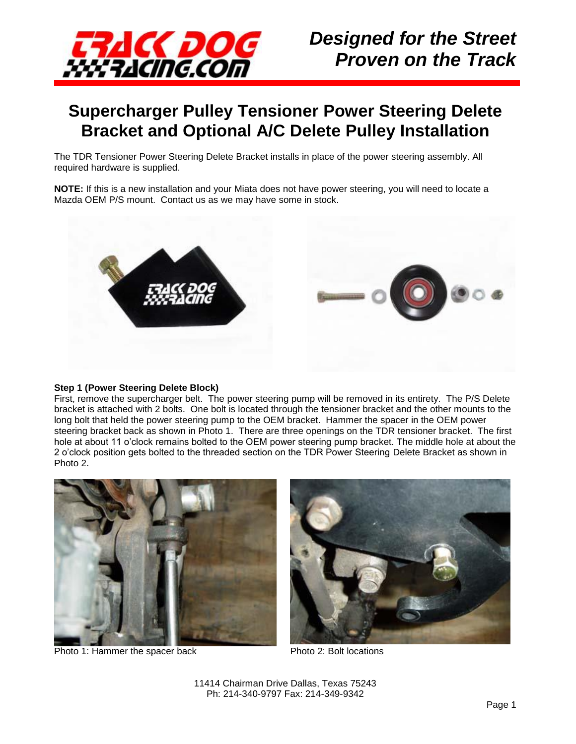

### **Supercharger Pulley Tensioner Power Steering Delete Bracket and Optional A/C Delete Pulley Installation**

The TDR Tensioner Power Steering Delete Bracket installs in place of the power steering assembly. All required hardware is supplied.

**NOTE:** If this is a new installation and your Miata does not have power steering, you will need to locate a Mazda OEM P/S mount. Contact us as we may have some in stock.



#### **Step 1 (Power Steering Delete Block)**

First, remove the supercharger belt. The power steering pump will be removed in its entirety. The P/S Delete bracket is attached with 2 bolts. One bolt is located through the tensioner bracket and the other mounts to the long bolt that held the power steering pump to the OEM bracket. Hammer the spacer in the OEM power steering bracket back as shown in Photo 1. There are three openings on the TDR tensioner bracket. The first hole at about 11 o'clock remains bolted to the OEM power steering pump bracket. The middle hole at about the 2 o'clock position gets bolted to the threaded section on the TDR Power Steering Delete Bracket as shown in Photo 2.



Photo 1: Hammer the spacer back Photo 2: Bolt locations

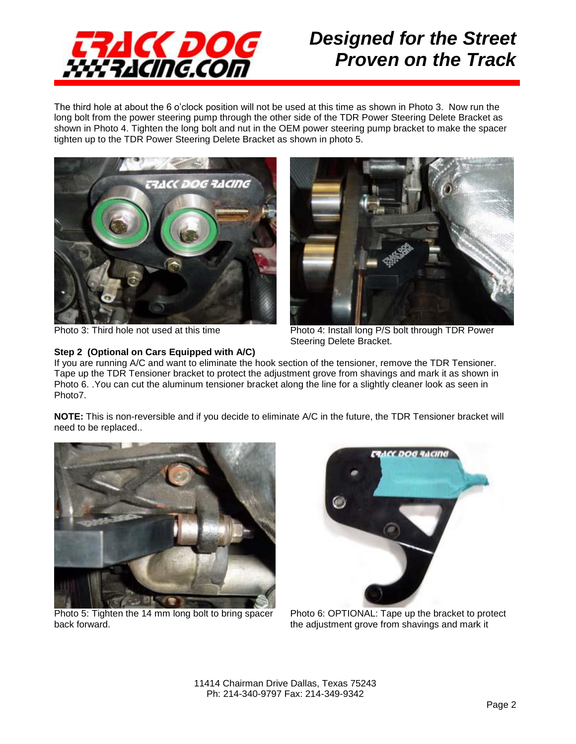

The third hole at about the 6 o'clock position will not be used at this time as shown in Photo 3. Now run the long bolt from the power steering pump through the other side of the TDR Power Steering Delete Bracket as shown in Photo 4. Tighten the long bolt and nut in the OEM power steering pump bracket to make the spacer tighten up to the TDR Power Steering Delete Bracket as shown in photo 5.





#### **Step 2 (Optional on Cars Equipped with A/C)**

Photo 3: Third hole not used at this time Photo 4: Install long P/S bolt through TDR Power Steering Delete Bracket.

If you are running A/C and want to eliminate the hook section of the tensioner, remove the TDR Tensioner. Tape up the TDR Tensioner bracket to protect the adjustment grove from shavings and mark it as shown in Photo 6. .You can cut the aluminum tensioner bracket along the line for a slightly cleaner look as seen in Photo7.

**NOTE:** This is non-reversible and if you decide to eliminate A/C in the future, the TDR Tensioner bracket will need to be replaced..



Photo 5: Tighten the 14 mm long bolt to bring spacer back forward.



Photo 6: OPTIONAL: Tape up the bracket to protect the adjustment grove from shavings and mark it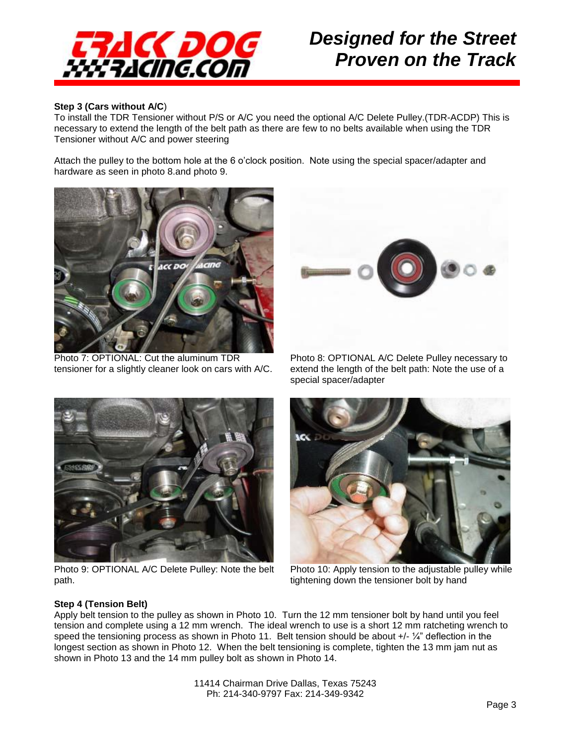

#### **Step 3 (Cars without A/C**)

To install the TDR Tensioner without P/S or A/C you need the optional A/C Delete Pulley.(TDR-ACDP) This is necessary to extend the length of the belt path as there are few to no belts available when using the TDR Tensioner without A/C and power steering

Attach the pulley to the bottom hole at the 6 o'clock position. Note using the special spacer/adapter and hardware as seen in photo 8.and photo 9.



Photo 7: OPTIONAL: Cut the aluminum TDR tensioner for a slightly cleaner look on cars with A/C.



Photo 8: OPTIONAL A/C Delete Pulley necessary to extend the length of the belt path: Note the use of a special spacer/adapter



Photo 9: OPTIONAL A/C Delete Pulley: Note the belt path.



Photo 10: Apply tension to the adjustable pulley while tightening down the tensioner bolt by hand

#### **Step 4 (Tension Belt)**

Apply belt tension to the pulley as shown in Photo 10. Turn the 12 mm tensioner bolt by hand until you feel tension and complete using a 12 mm wrench. The ideal wrench to use is a short 12 mm ratcheting wrench to speed the tensioning process as shown in Photo 11. Belt tension should be about  $+/-\frac{1}{4}$ " deflection in the longest section as shown in Photo 12. When the belt tensioning is complete, tighten the 13 mm jam nut as shown in Photo 13 and the 14 mm pulley bolt as shown in Photo 14.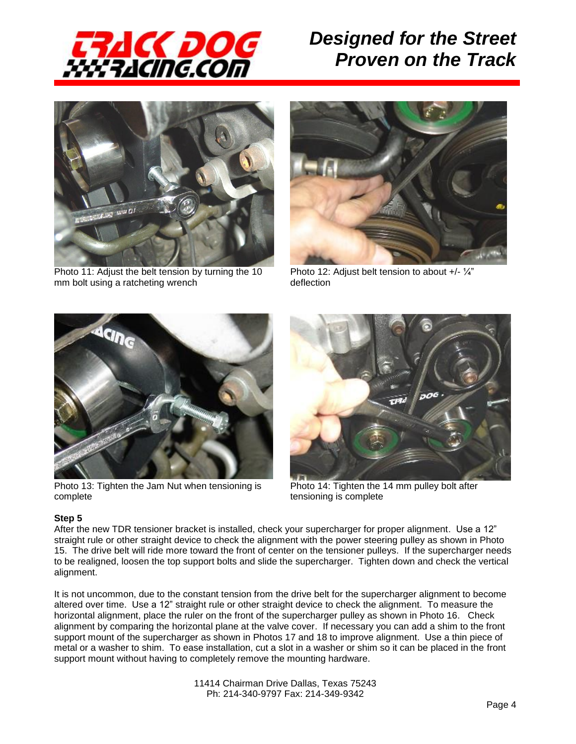



Photo 11: Adjust the belt tension by turning the 10 mm bolt using a ratcheting wrench



Photo 12: Adjust belt tension to about +/- 1/4" deflection



Photo 13: Tighten the Jam Nut when tensioning is complete



Photo 14: Tighten the 14 mm pulley bolt after tensioning is complete

#### **Step 5**

After the new TDR tensioner bracket is installed, check your supercharger for proper alignment. Use a 12" straight rule or other straight device to check the alignment with the power steering pulley as shown in Photo 15. The drive belt will ride more toward the front of center on the tensioner pulleys. If the supercharger needs to be realigned, loosen the top support bolts and slide the supercharger. Tighten down and check the vertical alignment.

It is not uncommon, due to the constant tension from the drive belt for the supercharger alignment to become altered over time. Use a 12" straight rule or other straight device to check the alignment. To measure the horizontal alignment, place the ruler on the front of the supercharger pulley as shown in Photo 16. Check alignment by comparing the horizontal plane at the valve cover. If necessary you can add a shim to the front support mount of the supercharger as shown in Photos 17 and 18 to improve alignment. Use a thin piece of metal or a washer to shim. To ease installation, cut a slot in a washer or shim so it can be placed in the front support mount without having to completely remove the mounting hardware.

> 11414 Chairman Drive Dallas, Texas 75243 Ph: 214-340-9797 Fax: 214-349-9342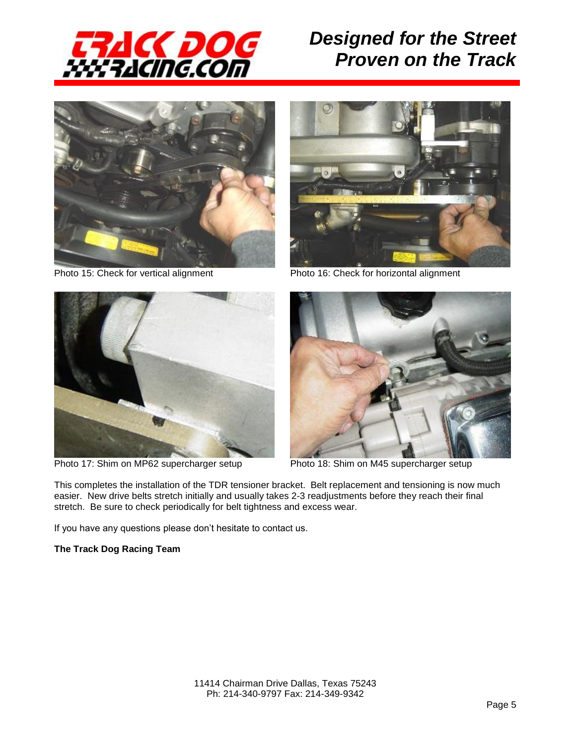





Photo 15: Check for vertical alignment Photo 16: Check for horizontal alignment



Photo 17: Shim on MP62 supercharger setup Photo 18: Shim on M45 supercharger setup



This completes the installation of the TDR tensioner bracket. Belt replacement and tensioning is now much easier. New drive belts stretch initially and usually takes 2-3 readjustments before they reach their final stretch. Be sure to check periodically for belt tightness and excess wear.

If you have any questions please don't hesitate to contact us.

#### **The Track Dog Racing Team**